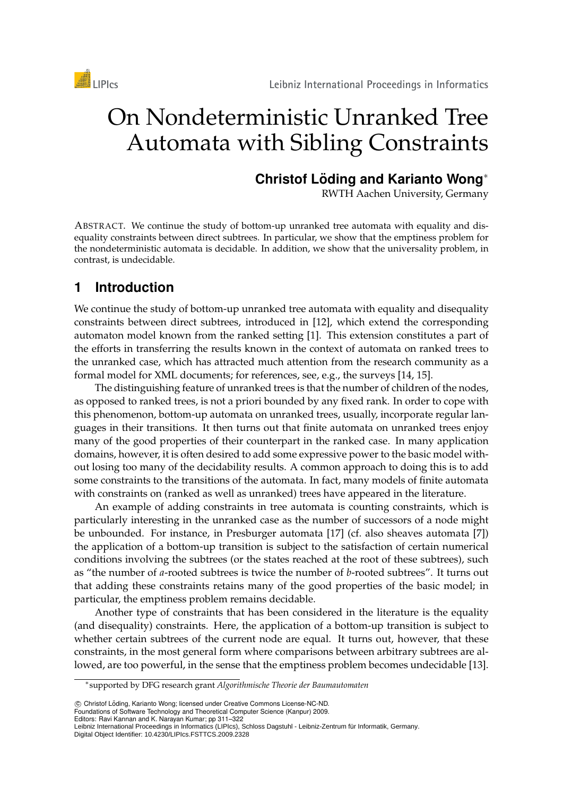



# On Nondeterministic Unranked Tree Automata with Sibling Constraints

## **Christof Löding and Karianto Wong**<sup>\*</sup>

RWTH Aachen University, Germany

ABSTRACT. We continue the study of bottom-up unranked tree automata with equality and disequality constraints between direct subtrees. In particular, we show that the emptiness problem for the nondeterministic automata is decidable. In addition, we show that the universality problem, in contrast, is undecidable.

# **1 Introduction**

We continue the study of bottom-up unranked tree automata with equality and disequality constraints between direct subtrees, introduced in [12], which extend the corresponding automaton model known from the ranked setting [1]. This extension constitutes a part of the efforts in transferring the results known in the context of automata on ranked trees to the unranked case, which has attracted much attention from the research community as a formal model for XML documents; for references, see, e.g., the surveys [14, 15].

The distinguishing feature of unranked trees is that the number of children of the nodes, as opposed to ranked trees, is not a priori bounded by any fixed rank. In order to cope with this phenomenon, bottom-up automata on unranked trees, usually, incorporate regular languages in their transitions. It then turns out that finite automata on unranked trees enjoy many of the good properties of their counterpart in the ranked case. In many application domains, however, it is often desired to add some expressive power to the basic model without losing too many of the decidability results. A common approach to doing this is to add some constraints to the transitions of the automata. In fact, many models of finite automata with constraints on (ranked as well as unranked) trees have appeared in the literature.

An example of adding constraints in tree automata is counting constraints, which is particularly interesting in the unranked case as the number of successors of a node might be unbounded. For instance, in Presburger automata [17] (cf. also sheaves automata [7]) the application of a bottom-up transition is subject to the satisfaction of certain numerical conditions involving the subtrees (or the states reached at the root of these subtrees), such as "the number of *a*-rooted subtrees is twice the number of *b*-rooted subtrees". It turns out that adding these constraints retains many of the good properties of the basic model; in particular, the emptiness problem remains decidable.

Another type of constraints that has been considered in the literature is the equality (and disequality) constraints. Here, the application of a bottom-up transition is subject to whether certain subtrees of the current node are equal. It turns out, however, that these constraints, in the most general form where comparisons between arbitrary subtrees are allowed, are too powerful, in the sense that the emptiness problem becomes undecidable [13].

c Christof Loding, Karianto Wong; licensed under Creative Commons License-NC-ND. ¨

Foundations of Software Technology and Theoretical Computer Science (Kanpur) 2009.

Editors: Ravi Kannan and K. Narayan Kumar; pp 311–322

<sup>∗</sup> supported by DFG research grant *Algorithmische Theorie der Baumautomaten*

Leibniz International Proceedings in Informatics (LIPIcs), Schloss Dagstuhl - Leibniz-Zentrum für Informatik, Germany. Digital Object Identifier: 10.4230/LIPIcs.FSTTCS.2009.2328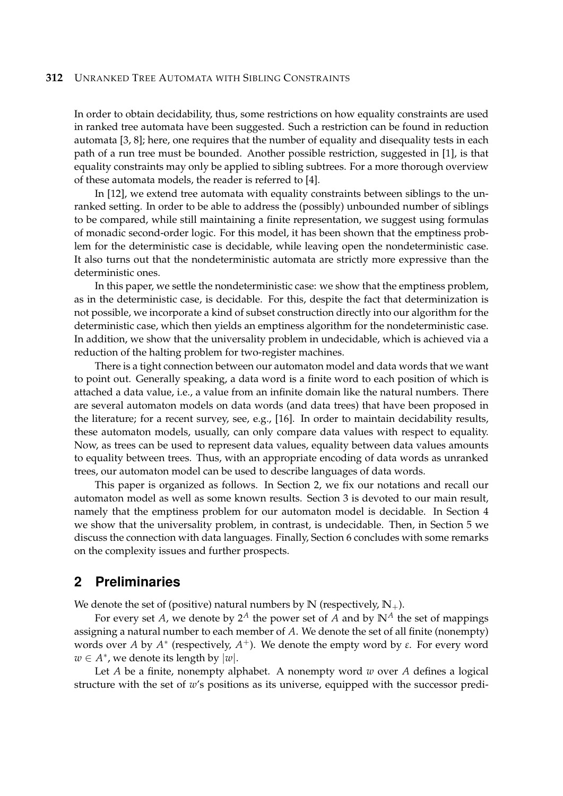In order to obtain decidability, thus, some restrictions on how equality constraints are used in ranked tree automata have been suggested. Such a restriction can be found in reduction automata [3, 8]; here, one requires that the number of equality and disequality tests in each path of a run tree must be bounded. Another possible restriction, suggested in [1], is that equality constraints may only be applied to sibling subtrees. For a more thorough overview of these automata models, the reader is referred to [4].

In [12], we extend tree automata with equality constraints between siblings to the unranked setting. In order to be able to address the (possibly) unbounded number of siblings to be compared, while still maintaining a finite representation, we suggest using formulas of monadic second-order logic. For this model, it has been shown that the emptiness problem for the deterministic case is decidable, while leaving open the nondeterministic case. It also turns out that the nondeterministic automata are strictly more expressive than the deterministic ones.

In this paper, we settle the nondeterministic case: we show that the emptiness problem, as in the deterministic case, is decidable. For this, despite the fact that determinization is not possible, we incorporate a kind of subset construction directly into our algorithm for the deterministic case, which then yields an emptiness algorithm for the nondeterministic case. In addition, we show that the universality problem in undecidable, which is achieved via a reduction of the halting problem for two-register machines.

There is a tight connection between our automaton model and data words that we want to point out. Generally speaking, a data word is a finite word to each position of which is attached a data value, i.e., a value from an infinite domain like the natural numbers. There are several automaton models on data words (and data trees) that have been proposed in the literature; for a recent survey, see, e.g., [16]. In order to maintain decidability results, these automaton models, usually, can only compare data values with respect to equality. Now, as trees can be used to represent data values, equality between data values amounts to equality between trees. Thus, with an appropriate encoding of data words as unranked trees, our automaton model can be used to describe languages of data words.

This paper is organized as follows. In Section 2, we fix our notations and recall our automaton model as well as some known results. Section 3 is devoted to our main result, namely that the emptiness problem for our automaton model is decidable. In Section 4 we show that the universality problem, in contrast, is undecidable. Then, in Section 5 we discuss the connection with data languages. Finally, Section 6 concludes with some remarks on the complexity issues and further prospects.

#### **2 Preliminaries**

We denote the set of (positive) natural numbers by  $\mathbb{N}$  (respectively,  $\mathbb{N}_+$ ).

For every set *A*, we denote by  $2^A$  the power set of *A* and by  $\mathbb{N}^A$  the set of mappings assigning a natural number to each member of *A*. We denote the set of all finite (nonempty) words over *A* by  $A^*$  (respectively,  $A^+$ ). We denote the empty word by *ε*. For every word  $w \in A^*$ , we denote its length by  $|w|$ .

Let *A* be a finite, nonempty alphabet. A nonempty word *w* over *A* defines a logical structure with the set of *w*'s positions as its universe, equipped with the successor predi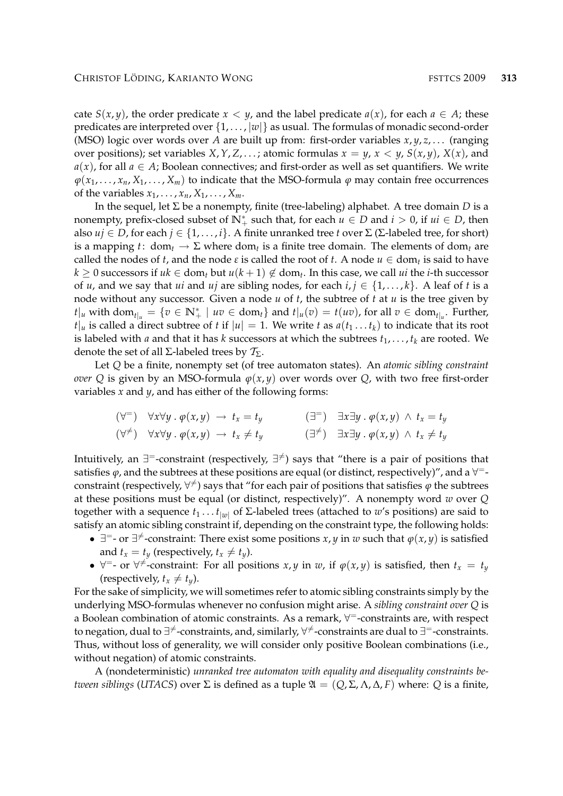cate *S*(*x*, *y*), the order predicate *x* < *y*, and the label predicate *a*(*x*), for each *a*  $\in$  *A*; these predicates are interpreted over  $\{1, \ldots, |w|\}$  as usual. The formulas of monadic second-order (MSO) logic over words over *A* are built up from: first-order variables *x*, *y*, *z*, . . . (ranging over positions); set variables *X*, *Y*, *Z*, . . . ; atomic formulas  $x = y$ ,  $x < y$ ,  $S(x, y)$ ,  $X(x)$ , and  $a(x)$ , for all  $a \in A$ ; Boolean connectives; and first-order as well as set quantifiers. We write  $\varphi(x_1, \ldots, x_n, X_1, \ldots, X_m)$  to indicate that the MSO-formula  $\varphi$  may contain free occurrences of the variables  $x_1, \ldots, x_n, X_1, \ldots, X_m$ .

In the sequel, let  $\Sigma$  be a nonempty, finite (tree-labeling) alphabet. A tree domain *D* is a nonempty, prefix-closed subset of  $\mathbb{N}^*_+$  such that, for each  $u \in D$  and  $i > 0$ , if  $ui \in D$ , then also  $u_j \in D$ , for each  $j \in \{1, ..., i\}$ . A finite unranked tree *t* over  $\Sigma$  ( $\Sigma$ -labeled tree, for short) is a mapping  $t:$  dom<sub>t</sub>  $\to \Sigma$  where dom<sub>t</sub> is a finite tree domain. The elements of dom<sub>t</sub> are called the nodes of *t*, and the node  $\varepsilon$  is called the root of *t*. A node  $u \in dom_t$  is said to have  $k \geq 0$  successors if  $uk \in \text{dom}_t$  but  $u(k+1) \notin \text{dom}_t$ . In this case, we call  $ui$  the *i*-th successor of *u*, and we say that *ui* and *uj* are sibling nodes, for each  $i, j \in \{1, \ldots, k\}$ . A leaf of *t* is a node without any successor. Given a node *u* of *t*, the subtree of *t* at *u* is the tree given by  $t|_u$  with dom<sub> $t|_u = \{v \in \mathbb{N}_+^* \mid uv \in \text{dom}_t\}$  and  $t|_u(v) = t(uv)$ , for all  $v \in \text{dom}_{t|_u}$ . Further,</sub>  $t|_u$  is called a direct subtree of *t* if  $|u| = 1$ . We write *t* as  $a(t_1 \ldots t_k)$  to indicate that its root is labeled with *a* and that it has *k* successors at which the subtrees  $t_1, \ldots, t_k$  are rooted. We denote the set of all  $\Sigma$ -labeled trees by  $\mathcal{T}_{\Sigma}$ .

Let *Q* be a finite, nonempty set (of tree automaton states). An *atomic sibling constraint over* Q is given by an MSO-formula  $\varphi(x, y)$  over words over Q, with two free first-order variables *x* and *y*, and has either of the following forms:

$$
(\forall^=) \quad \forall x \forall y \, . \, \varphi(x, y) \rightarrow t_x = t_y \qquad (\exists^=) \quad \exists x \exists y \, . \, \varphi(x, y) \land t_x = t_y
$$
  

$$
(\forall^{\neq}) \quad \forall x \forall y \, . \, \varphi(x, y) \rightarrow t_x \neq t_y \qquad (\exists^{\neq}) \quad \exists x \exists y \, . \, \varphi(x, y) \land t_x \neq t_y
$$

Intuitively, an  $\exists^\texttt{=}$ -constraint (respectively,  $\exists^\neq$ ) says that "there is a pair of positions that satisfies  $\varphi$ , and the subtrees at these positions are equal (or distinct, respectively)", and a  $\forall^=$ constraint (respectively,  $\forall^{\neq}$ ) says that "for each pair of positions that satisfies  $\varphi$  the subtrees at these positions must be equal (or distinct, respectively)". A nonempty word *w* over *Q* together with a sequence  $t_1 \ldots t_{|w|}$  of  $\Sigma$ -labeled trees (attached to  $w$ 's positions) are said to satisfy an atomic sibling constraint if, depending on the constraint type, the following holds:

- $\exists$ <sup>=</sup>- or  $\exists$ <sup>≠</sup>-constraint: There exist some positions *x*, *y* in *w* such that  $\varphi$ (*x*, *y*) is satisfied and  $t_x = t_y$  (respectively,  $t_x \neq t_y$ ).
- $\forall$  = or  $\forall \neq$  -constraint: For all positions *x*, *y* in *w*, if  $\varphi(x, y)$  is satisfied, then  $t_x = t_y$ (respectively,  $t_x \neq t_y$ ).

For the sake of simplicity, we will sometimes refer to atomic sibling constraints simply by the underlying MSO-formulas whenever no confusion might arise. A *sibling constraint over Q* is a Boolean combination of atomic constraints. As a remark,  $\forall^=$ -constraints are, with respect to negation, dual to ∃<sup>≠</sup>-constraints, and, similarly,  $\forall^{\neq}$ -constraints are dual to ∃<sup>=</sup>-constraints. Thus, without loss of generality, we will consider only positive Boolean combinations (i.e., without negation) of atomic constraints.

A (nondeterministic) *unranked tree automaton with equality and disequality constraints between siblings* (*UTACS*) over  $\Sigma$  is defined as a tuple  $\mathfrak{A} = (Q, \Sigma, \Lambda, \Delta, F)$  where: Q is a finite,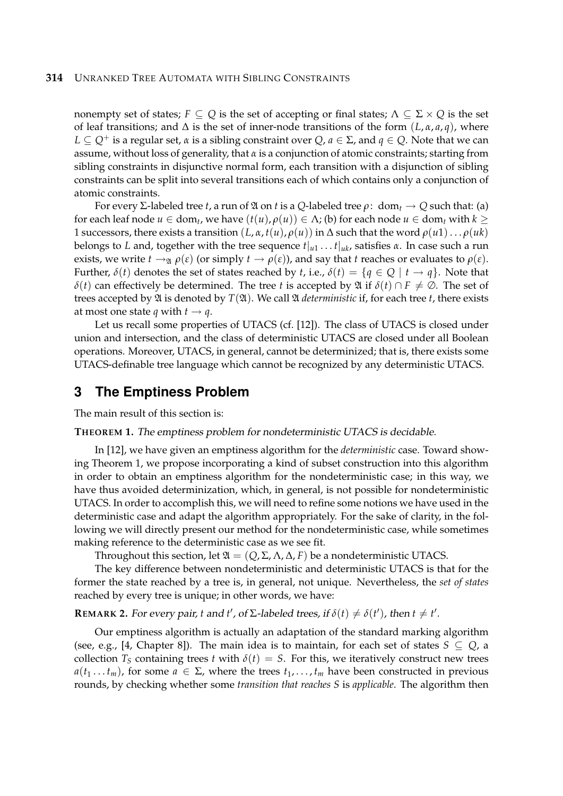nonempty set of states;  $F \subseteq Q$  is the set of accepting or final states;  $\Lambda \subseteq \Sigma \times Q$  is the set of leaf transitions; and  $\Delta$  is the set of inner-node transitions of the form  $(L, \alpha, a, q)$ , where  $L \subseteq Q^+$  is a regular set,  $\alpha$  is a sibling constraint over  $Q, \alpha \in \Sigma$ , and  $q \in Q$ . Note that we can assume, without loss of generality, that *α* is a conjunction of atomic constraints; starting from sibling constraints in disjunctive normal form, each transition with a disjunction of sibling constraints can be split into several transitions each of which contains only a conjunction of atomic constraints.

For every Σ-labeled tree *t*, a run of  $\mathfrak A$  on *t* is a *Q*-labeled tree *ρ*: dom<sub>*t*</sub>  $\rightarrow$  *Q* such that: (a) for each leaf node  $u \in \text{dom}_t$ , we have  $(t(u), \rho(u)) \in \Lambda$ ; (b) for each node  $u \in \text{dom}_t$  with  $k \geq$ 1 successors, there exists a transition (*L*, *α*, *t*(*u*), *ρ*(*u*)) in ∆ such that the word *ρ*(*u*1). . . *ρ*(*uk*) belongs to *L* and, together with the tree sequence  $t|_{u_1} \dots t|_{u_k}$ , satisfies  $\alpha$ . In case such a run exists, we write  $t \to_{\mathfrak{A}} \rho(\varepsilon)$  (or simply  $t \to \rho(\varepsilon)$ ), and say that *t* reaches or evaluates to  $\rho(\varepsilon)$ . Further,  $\delta(t)$  denotes the set of states reached by *t*, i.e.,  $\delta(t) = \{q \in Q \mid t \to q\}$ . Note that *δ*(*t*) can effectively be determined. The tree *t* is accepted by  $\mathfrak{A}$  if *δ*(*t*) ∩ *F*  $\neq$  ⊘. The set of trees accepted by  $\mathfrak{A}$  is denoted by  $T(\mathfrak{A})$ . We call  $\mathfrak A$  *deterministic* if, for each tree *t*, there exists at most one state *q* with  $t \rightarrow q$ .

Let us recall some properties of UTACS (cf. [12]). The class of UTACS is closed under union and intersection, and the class of deterministic UTACS are closed under all Boolean operations. Moreover, UTACS, in general, cannot be determinized; that is, there exists some UTACS-definable tree language which cannot be recognized by any deterministic UTACS.

## **3 The Emptiness Problem**

The main result of this section is:

**THEOREM 1.** The emptiness problem for nondeterministic UTACS is decidable.

In [12], we have given an emptiness algorithm for the *deterministic* case. Toward showing Theorem 1, we propose incorporating a kind of subset construction into this algorithm in order to obtain an emptiness algorithm for the nondeterministic case; in this way, we have thus avoided determinization, which, in general, is not possible for nondeterministic UTACS. In order to accomplish this, we will need to refine some notions we have used in the deterministic case and adapt the algorithm appropriately. For the sake of clarity, in the following we will directly present our method for the nondeterministic case, while sometimes making reference to the deterministic case as we see fit.

Throughout this section, let  $\mathfrak{A} = (Q, \Sigma, \Lambda, \Delta, F)$  be a nondeterministic UTACS.

The key difference between nondeterministic and deterministic UTACS is that for the former the state reached by a tree is, in general, not unique. Nevertheless, the *set of states* reached by every tree is unique; in other words, we have:

## **REMARK 2.** For every pair, *t* and *t'*, of  $\Sigma$ -labeled trees, if  $\delta(t) \neq \delta(t')$ , then  $t \neq t'$ .

Our emptiness algorithm is actually an adaptation of the standard marking algorithm (see, e.g., [4, Chapter 8]). The main idea is to maintain, for each set of states  $S \subseteq Q$ , a collection  $T_S$  containing trees *t* with  $\delta(t) = S$ . For this, we iteratively construct new trees  $a(t_1...t_m)$ , for some  $a \in \Sigma$ , where the trees  $t_1,...,t_m$  have been constructed in previous rounds, by checking whether some *transition that reaches S* is *applicable*. The algorithm then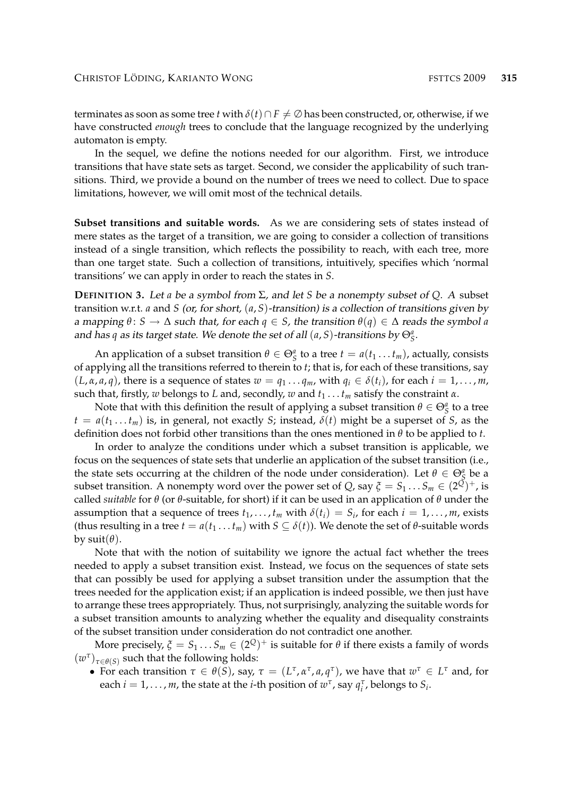terminates as soon as some tree *t* with  $\delta(t) \cap F \neq \emptyset$  has been constructed, or, otherwise, if we have constructed *enough* trees to conclude that the language recognized by the underlying automaton is empty.

In the sequel, we define the notions needed for our algorithm. First, we introduce transitions that have state sets as target. Second, we consider the applicability of such transitions. Third, we provide a bound on the number of trees we need to collect. Due to space limitations, however, we will omit most of the technical details.

**Subset transitions and suitable words.** As we are considering sets of states instead of mere states as the target of a transition, we are going to consider a collection of transitions instead of a single transition, which reflects the possibility to reach, with each tree, more than one target state. Such a collection of transitions, intuitively, specifies which 'normal transitions' we can apply in order to reach the states in *S*.

**DEFINITION** 3. Let *a* be a symbol from  $\Sigma$ , and let *S* be a nonempty subset of *Q*. A subset transition w.r.t. *a* and *S* (or, for short, (*a*, *S*)-transition) is a collection of transitions given by a mapping  $\theta$ :  $S \to \Delta$  such that, for each  $q \in S$ , the transition  $\theta(q) \in \Delta$  reads the symbol *a* and has *q* as its target state. We denote the set of all  $(a, S)$ -transitions by  $\Theta_{\mathcal{S}}^{a}$ .

An application of a subset transition  $\theta \in \Theta_{\mathcal{S}}^a$  to a tree  $t = a(t_1 \dots t_m)$ , actually, consists of applying all the transitions referred to therein to *t*; that is, for each of these transitions, say  $(L, \alpha, a, q)$ , there is a sequence of states  $w = q_1 \dots q_m$ , with  $q_i \in \delta(t_i)$ , for each  $i = 1, \dots, m$ , such that, firstly, *w* belongs to *L* and, secondly, *w* and *t*<sup>1</sup> . . . *t<sup>m</sup>* satisfy the constraint *α*.

Note that with this definition the result of applying a subset transition  $\theta \in \Theta_{\mathcal{S}}^{a}$  to a tree  $t = a(t_1 \ldots t_m)$  is, in general, not exactly *S*; instead,  $\delta(t)$  might be a superset of *S*, as the definition does not forbid other transitions than the ones mentioned in *θ* to be applied to *t*.

In order to analyze the conditions under which a subset transition is applicable, we focus on the sequences of state sets that underlie an application of the subset transition (i.e., the state sets occurring at the children of the node under consideration). Let  $\theta \in \Theta_{\mathcal{S}}^{a}$  be a subset transition. A nonempty word over the power set of *Q*, say  $\zeta = S_1 \dots S_m \in (2^{\overline{Q}})^+$ , is called *suitable* for *θ* (or *θ*-suitable, for short) if it can be used in an application of *θ* under the assumption that a sequence of trees  $t_1, \ldots, t_m$  with  $\delta(t_i) = S_i$ , for each  $i = 1, \ldots, m$ , exists (thus resulting in a tree  $t = a(t_1 \dots t_m)$  with  $S \subseteq \delta(t)$ ). We denote the set of  $\theta$ -suitable words by  $suit(\theta)$ .

Note that with the notion of suitability we ignore the actual fact whether the trees needed to apply a subset transition exist. Instead, we focus on the sequences of state sets that can possibly be used for applying a subset transition under the assumption that the trees needed for the application exist; if an application is indeed possible, we then just have to arrange these trees appropriately. Thus, not surprisingly, analyzing the suitable words for a subset transition amounts to analyzing whether the equality and disequality constraints of the subset transition under consideration do not contradict one another.

More precisely,  $\zeta = S_1 \ldots S_m \in (2^Q)^+$  is suitable for  $\theta$  if there exists a family of words  $(w^{\tau})_{\tau \in \theta(S)}$  such that the following holds:

• For each transition  $\tau \in \theta(S)$ , say,  $\tau = (L^{\tau}, \alpha^{\tau}, a, q^{\tau})$ , we have that  $w^{\tau} \in L^{\tau}$  and, for each  $i = 1, ..., m$ , the state at the *i*-th position of  $w^{\tau}$ , say  $q_i^{\tau}$ , belongs to  $S_i$ .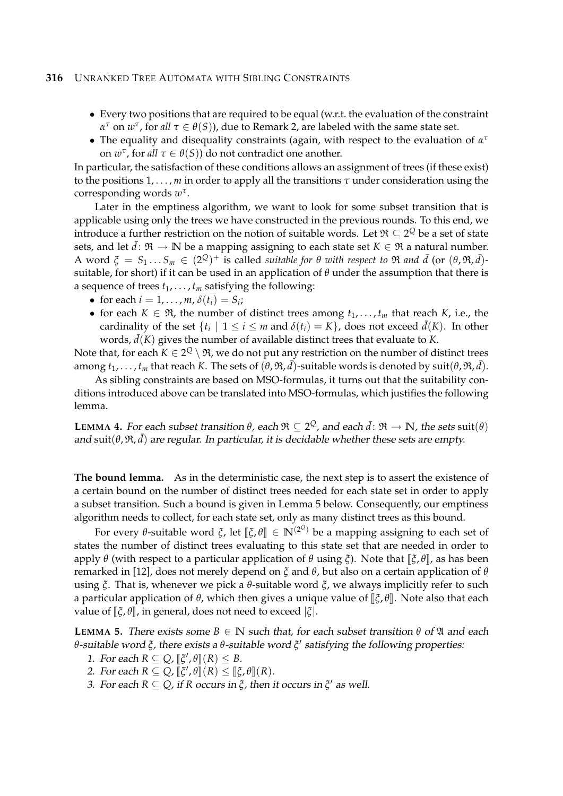- Every two positions that are required to be equal (w.r.t. the evaluation of the constraint *α*<sup>τ</sup> on *w*<sup>τ</sup>, for *all*  $τ ∈ θ(S)$ ), due to Remark 2, are labeled with the same state set.
- The equality and disequality constraints (again, with respect to the evaluation of *α τ* on  $w^{\tau}$ , for *all*  $\tau \in \theta(S)$ ) do not contradict one another.

In particular, the satisfaction of these conditions allows an assignment of trees (if these exist) to the positions 1, . . . , *m* in order to apply all the transitions *τ* under consideration using the corresponding words *w τ* .

Later in the emptiness algorithm, we want to look for some subset transition that is applicable using only the trees we have constructed in the previous rounds. To this end, we introduce a further restriction on the notion of suitable words. Let  $\mathfrak{R}\subseteq 2^Q$  be a set of state sets, and let  $\bar{d}$ :  $\Re \to \mathbb{N}$  be a mapping assigning to each state set  $K \in \Re$  a natural number.  $A$  word  $\xi = S_1 \ldots S_m \in (2^Q)^+$  is called *suitable for*  $\theta$  *with respect to*  $\Re$  *and*  $\bar{d}$  (or  $(\theta, \Re, \bar{d})$ suitable, for short) if it can be used in an application of *θ* under the assumption that there is a sequence of trees  $t_1, \ldots, t_m$  satisfying the following:

- for each  $i = 1, ..., m$ ,  $\delta(t_i) = S_i$ ;
- for each  $K \in \mathfrak{R}$ , the number of distinct trees among  $t_1, \ldots, t_m$  that reach  $K$ , i.e., the cardinality of the set  $\{t_i \mid 1 \le i \le m \text{ and } \delta(t_i) = K\}$ , does not exceed  $\bar{d}(K)$ . In other words,  $\bar{d}(K)$  gives the number of available distinct trees that evaluate to *K*.

Note that, for each  $K\in 2^Q\setminus\mathfrak{R}$ , we do not put any restriction on the number of distinct trees among  $t_1,\ldots,t_m$  that reach  $K$ . The sets of  $(\theta,\mathfrak{R},\bar{d})$ -suitable words is denoted by  $\text{suit}(\theta,\mathfrak{R},\bar{d}).$ 

As sibling constraints are based on MSO-formulas, it turns out that the suitability conditions introduced above can be translated into MSO-formulas, which justifies the following lemma.

**LEMMA 4.** For each subset transition  $\theta$ , each  $\mathfrak{R} \subseteq 2^Q$ , and each  $\bar{d} \colon \mathfrak{R} \to \mathbb{N}$ , the sets suit $(\theta)$ and  $\text{suit}(\theta,\mathfrak{R},\bar{d})$  are regular. In particular, it is decidable whether these sets are empty.

**The bound lemma.** As in the deterministic case, the next step is to assert the existence of a certain bound on the number of distinct trees needed for each state set in order to apply a subset transition. Such a bound is given in Lemma 5 below. Consequently, our emptiness algorithm needs to collect, for each state set, only as many distinct trees as this bound.

For every *θ*-suitable word *ξ*, let  $[\![\xi,\theta]\!] \in \mathbb{N}^{(2^Q)}$  be a mapping assigning to each set of the number of distinct trees evaluating to this state set that are peoded in order to states the number of distinct trees evaluating to this state set that are needed in order to apply *θ* (with respect to a particular application of *θ* using *ξ*). Note that  $[\xi, \theta]$ , as has been remarked in [12], does not merely depend on *ξ* and *θ*, but also on a certain application of *θ* using *ξ*. That is, whenever we pick a *θ*-suitable word *ξ*, we always implicitly refer to such a particular application of  $\theta$ , which then gives a unique value of  $\lbrack \zeta, \theta \rbrack$ . Note also that each value of  $\left[\xi, \theta\right]$ , in general, does not need to exceed  $\left|\xi\right|$ .

**LEMMA** 5. There exists some  $B \in \mathbb{N}$  such that, for each subset transition  $\theta$  of  $\mathfrak{A}$  and each *θ*-suitable word *ξ*, there exists a *θ*-suitable word *ξ* 0 satisfying the following properties:

- 1. For each  $R \subseteq Q$ ,  $\left[\zeta', \theta\right] (R) \leq B$ .<br>2. For each  $P \subseteq Q$ ,  $\left[\zeta' \mid \theta\right] (P) < \left[\zeta\right]$
- 2. For each  $R \subseteq Q$ ,  $[\xi', \theta](R) \leq [\xi, \theta](R)$ .<br>2. For each  $R \subseteq Q$ , if  $R$  equivalent  $\tilde{\lambda}$ , then
- 3. For each  $R \subseteq Q$ , if  $R$  occurs in  $\zeta$ , then it occurs in  $\zeta'$  as well.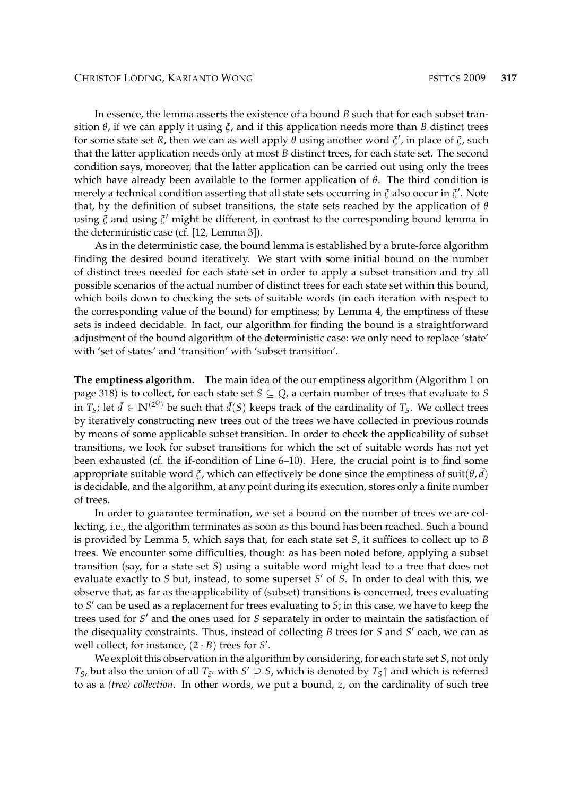In essence, the lemma asserts the existence of a bound *B* such that for each subset transition *θ*, if we can apply it using *ξ*, and if this application needs more than *B* distinct trees for some state set *R*, then we can as well apply *θ* using another word *ξ* 0 , in place of *ξ*, such that the latter application needs only at most *B* distinct trees, for each state set. The second condition says, moreover, that the latter application can be carried out using only the trees which have already been available to the former application of *θ*. The third condition is merely a technical condition asserting that all state sets occurring in *ξ* also occur in *ξ'*. Note that, by the definition of subset transitions, the state sets reached by the application of *θ* using *ξ* and using *ζ'* might be different, in contrast to the corresponding bound lemma in the deterministic case (cf. [12, Lemma 3]).

As in the deterministic case, the bound lemma is established by a brute-force algorithm finding the desired bound iteratively. We start with some initial bound on the number of distinct trees needed for each state set in order to apply a subset transition and try all possible scenarios of the actual number of distinct trees for each state set within this bound, which boils down to checking the sets of suitable words (in each iteration with respect to the corresponding value of the bound) for emptiness; by Lemma 4, the emptiness of these sets is indeed decidable. In fact, our algorithm for finding the bound is a straightforward adjustment of the bound algorithm of the deterministic case: we only need to replace 'state' with 'set of states' and 'transition' with 'subset transition'.

**The emptiness algorithm.** The main idea of the our emptiness algorithm (Algorithm 1 on page 318) is to collect, for each state set  $S \subseteq Q$ , a certain number of trees that evaluate to *S* in  $T_S$ ; let  $\bar{d} \in \mathbb{N}^{(2^Q)}$  be such that  $\bar{d}(S)$  keeps track of the cardinality of  $T_S$ . We collect trees by iteratively constructing new trees out of the trees we have collected in previous rounds by means of some applicable subset transition. In order to check the applicability of subset transitions, we look for subset transitions for which the set of suitable words has not yet been exhausted (cf. the **if**-condition of Line 6–10). Here, the crucial point is to find some appropriate suitable word  $\xi$ , which can effectively be done since the emptiness of suit $(\theta, \bar{d})$ is decidable, and the algorithm, at any point during its execution, stores only a finite number of trees.

In order to guarantee termination, we set a bound on the number of trees we are collecting, i.e., the algorithm terminates as soon as this bound has been reached. Such a bound is provided by Lemma 5, which says that, for each state set *S*, it suffices to collect up to *B* trees. We encounter some difficulties, though: as has been noted before, applying a subset transition (say, for a state set *S*) using a suitable word might lead to a tree that does not evaluate exactly to *S* but, instead, to some superset *S'* of *S*. In order to deal with this, we observe that, as far as the applicability of (subset) transitions is concerned, trees evaluating to *S'* can be used as a replacement for trees evaluating to *S*; in this case, we have to keep the trees used for *S'* and the ones used for *S* separately in order to maintain the satisfaction of the disequality constraints. Thus, instead of collecting *B* trees for *S* and *S'* each, we can as well collect, for instance,  $(2 \cdot B)$  trees for  $S'$ .

We exploit this observation in the algorithm by considering, for each state set *S*, not only *T*<sub>*S*</sub>, but also the union of all *T*<sub>*S*</sub><sup>*i*</sup> with *S*<sup> $\prime$ </sup>  $\supseteq$  *S*, which is denoted by *T*<sub>*S*</sub> $\uparrow$  and which is referred to as a *(tree) collection*. In other words, we put a bound, *z*, on the cardinality of such tree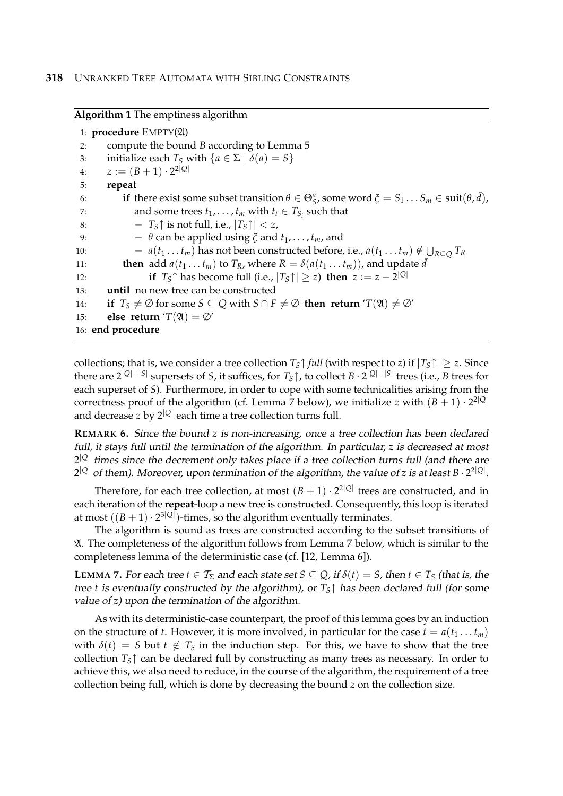```
Algorithm 1 The emptiness algorithm
 1: procedure EMPTY(A)
 2: compute the bound B according to Lemma 5
 3: initialize each T_S with \{a \in \Sigma \mid \delta(a) = S\}4: z := (B+1) \cdot 2^{2|Q|}5: repeat
 6: if there exist some subset transition \theta \in \Theta_S^a, some word \xi = S_1 \dots S_m \in \text{suit}(\theta, \bar{d}),
 7: and some trees t_1, \ldots, t_m with t_i \in T_{S_i} such that
 8: - T<sub>S</sub> \uparrow is not full, i.e., |T<sub>S</sub> \uparrow| < z,
 9: -\theta can be applied using \zeta and t_1, \ldots, t_m, and
10: a(t_1 \ldots t_m) has not been constructed before, i.e., a(t_1 \ldots t_m) \notin \bigcup_{R \subseteq Q} T_R11: then add a(t_1 \ldots t_m) to T_R, where R = \delta(a(t_1 \ldots t_m)), and update \bar{d}12: if T_S \uparrow has become full (i.e., |T_S \uparrow| \geq z) then z := z - 2^{|Q|}13: until no new tree can be constructed
14: if T_S \neq \emptyset for some S \subseteq Q with S \cap F \neq \emptyset then return 'T(\mathfrak{A}) \neq \emptyset'
15: else return T(\mathfrak{A}) = \emptyset'
16: end procedure
```
collections; that is, we consider a tree collection  $T<sub>S</sub> \uparrow$  *full* (with respect to *z*) if  $|T<sub>S</sub> \uparrow|$   $\geq$  *z*. Since there are 2|*Q*|−|*S*<sup>|</sup> supersets of *S*, it suffices, for *TS*↑, to collect *B* · 2 |*Q*|−|*S*| trees (i.e., *B* trees for each superset of *S*). Furthermore, in order to cope with some technicalities arising from the correctness proof of the algorithm (cf. Lemma 7 below), we initialize *z* with  $(B + 1) \cdot 2^{2|Q|}$ and decrease *z* by 2|*Q*<sup>|</sup> each time a tree collection turns full.

**REMARK 6.** Since the bound *z* is non-increasing, once a tree collection has been declared full, it stays full until the termination of the algorithm. In particular, *z* is decreased at most 2 |*Q*| times since the decrement only takes place if a tree collection turns full (and there are 2 <sup>|</sup>*Q*<sup>|</sup> of them). Moreover, upon termination of the algorithm, the value of *z* is at least *B* · 2 2|*Q*| .

Therefore, for each tree collection, at most  $(B + 1) \cdot 2^{2|Q|}$  trees are constructed, and in each iteration of the **repeat**-loop a new tree is constructed. Consequently, this loop is iterated at most  $((B+1)\cdot 2^{3|Q|})$ -times, so the algorithm eventually terminates.

The algorithm is sound as trees are constructed according to the subset transitions of A. The completeness of the algorithm follows from Lemma 7 below, which is similar to the completeness lemma of the deterministic case (cf. [12, Lemma 6]).

**LEMMA** 7. For each tree  $t \in T_{\Sigma}$  and each state set  $S \subseteq Q$ , if  $\delta(t) = S$ , then  $t \in T_S$  (that is, the tree *t* is eventually constructed by the algorithm), or *TS*↑ has been declared full (for some value of *z*) upon the termination of the algorithm.

As with its deterministic-case counterpart, the proof of this lemma goes by an induction on the structure of *t*. However, it is more involved, in particular for the case  $t = a(t_1 \dots t_m)$ with  $\delta(t) = S$  but  $t \notin T_S$  in the induction step. For this, we have to show that the tree collection *TS*↑ can be declared full by constructing as many trees as necessary. In order to achieve this, we also need to reduce, in the course of the algorithm, the requirement of a tree collection being full, which is done by decreasing the bound *z* on the collection size.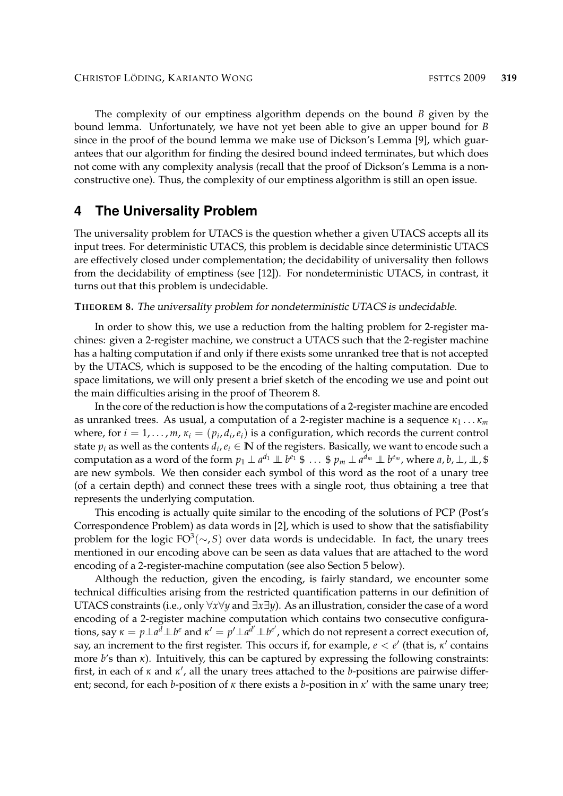The complexity of our emptiness algorithm depends on the bound *B* given by the bound lemma. Unfortunately, we have not yet been able to give an upper bound for *B* since in the proof of the bound lemma we make use of Dickson's Lemma [9], which guarantees that our algorithm for finding the desired bound indeed terminates, but which does not come with any complexity analysis (recall that the proof of Dickson's Lemma is a nonconstructive one). Thus, the complexity of our emptiness algorithm is still an open issue.

## **4 The Universality Problem**

The universality problem for UTACS is the question whether a given UTACS accepts all its input trees. For deterministic UTACS, this problem is decidable since deterministic UTACS are effectively closed under complementation; the decidability of universality then follows from the decidability of emptiness (see [12]). For nondeterministic UTACS, in contrast, it turns out that this problem is undecidable.

#### **THEOREM 8.** The universality problem for nondeterministic UTACS is undecidable.

In order to show this, we use a reduction from the halting problem for 2-register machines: given a 2-register machine, we construct a UTACS such that the 2-register machine has a halting computation if and only if there exists some unranked tree that is not accepted by the UTACS, which is supposed to be the encoding of the halting computation. Due to space limitations, we will only present a brief sketch of the encoding we use and point out the main difficulties arising in the proof of Theorem 8.

In the core of the reduction is how the computations of a 2-register machine are encoded as unranked trees. As usual, a computation of a 2-register machine is a sequence *κ*<sup>1</sup> . . . *κ<sup>m</sup>* where, for  $i = 1, \ldots, m$ ,  $\kappa_i = (p_i, d_i, e_i)$  is a configuration, which records the current control state  $p_i$  as well as the contents  $d_i, e_i \in \mathbb{N}$  of the registers. Basically, we want to encode such a computation as a word of the form  $p_1\perp a^{d_1}\perp\!\!\!\perp b^{e_1}\ \$ \ \dots\ \$ \ p_m\perp a^{d_m}\perp\!\!\!\perp b^{e_m}$ , where  $a,b,\perp,\perp,\$ are new symbols. We then consider each symbol of this word as the root of a unary tree (of a certain depth) and connect these trees with a single root, thus obtaining a tree that represents the underlying computation.

This encoding is actually quite similar to the encoding of the solutions of PCP (Post's Correspondence Problem) as data words in [2], which is used to show that the satisfiability problem for the logic FO<sup>3</sup>(∼, S) over data words is undecidable. In fact, the unary trees mentioned in our encoding above can be seen as data values that are attached to the word encoding of a 2-register-machine computation (see also Section 5 below).

Although the reduction, given the encoding, is fairly standard, we encounter some technical difficulties arising from the restricted quantification patterns in our definition of UTACS constraints (i.e., only ∀*x*∀*y* and ∃*x*∃*y*). As an illustration, consider the case of a word encoding of a 2-register machine computation which contains two consecutive configurations, say  $\kappa = p\perp a^d\perp b^e$  and  $\kappa' = p'\perp a^{d'}\perp b^{e'}$ , which do not represent a correct execution of, say, an increment to the first register. This occurs if, for example,  $e < e'$  (that is,  $\kappa'$  contains more *b*'s than *κ*). Intuitively, this can be captured by expressing the following constraints: first, in each of  $\kappa$  and  $\kappa'$ , all the unary trees attached to the *b*-positions are pairwise different; second, for each *b*-position of *κ* there exists a *b*-position in *κ'* with the same unary tree;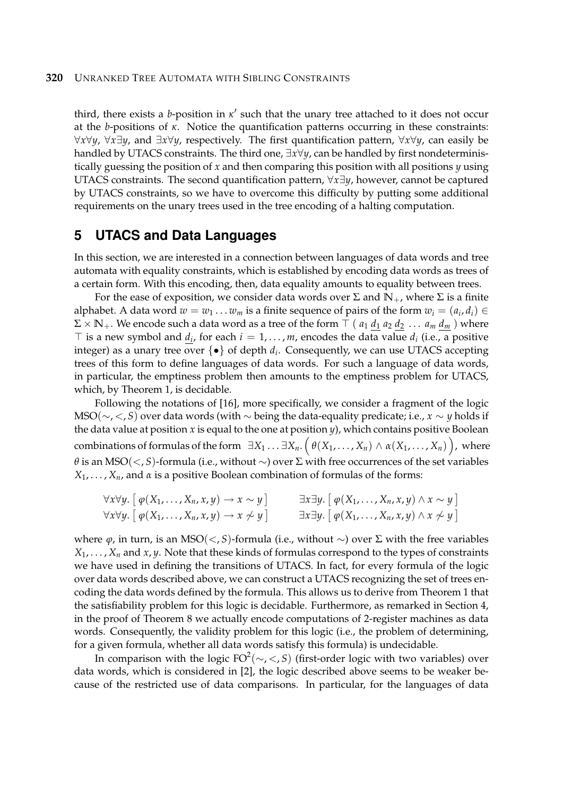third, there exists a *b*-position in  $\kappa'$  such that the unary tree attached to it does not occur at the *b*-positions of *κ*. Notice the quantification patterns occurring in these constraints: ∀*x*∀*y*, ∀*x*∃*y*, and ∃*x*∀*y*, respectively. The first quantification pattern, ∀*x*∀*y*, can easily be handled by UTACS constraints. The third one, ∃*x*∀*y*, can be handled by first nondeterministically guessing the position of *x* and then comparing this position with all positions *y* using UTACS constraints. The second quantification pattern, ∀*x*∃*y*, however, cannot be captured by UTACS constraints, so we have to overcome this difficulty by putting some additional requirements on the unary trees used in the tree encoding of a halting computation.

## **5 UTACS and Data Languages**

In this section, we are interested in a connection between languages of data words and tree automata with equality constraints, which is established by encoding data words as trees of a certain form. With this encoding, then, data equality amounts to equality between trees.

For the ease of exposition, we consider data words over  $\Sigma$  and  $\mathbb{N}_+$ , where  $\Sigma$  is a finite alphabet. A data word  $w = w_1 \ldots w_m$  is a finite sequence of pairs of the form  $w_i = (a_i, d_i) \in$  $\Sigma \times \mathbb{N}_+$ . We encode such a data word as a tree of the form  $\top$  (  $a_1$   $d_1$   $a_2$   $d_2$  ...  $a_m$   $d_m$  ) where  $\top$  is a new symbol and  $\underline{d}_i$ , for each  $i = 1, \ldots, m$ , encodes the data value  $d_i$  (i.e., a positive integer) as a unary tree over {•} of depth *d<sup>i</sup>* . Consequently, we can use UTACS accepting trees of this form to define languages of data words. For such a language of data words, in particular, the emptiness problem then amounts to the emptiness problem for UTACS, which, by Theorem 1, is decidable.

Following the notations of [16], more specifically, we consider a fragment of the logic MSO(∼, <, *S*) over data words (with ∼ being the data-equality predicate; i.e., *x* ∼ *y* holds if the data value at position *x* is equal to the one at position *y*), which contains positive Boolean  $\text{combinations of formulas of the form }\;\exists X_1\dots\exists X_n.\,\Big(\,\theta(X_1,\dots,X_n)\wedge\alpha(X_1,\dots,X_n)\,\Big),\text{ where }$ *θ* is an MSO(<, *S*)-formula (i.e., without ∼) over Σ with free occurrences of the set variables *X*1, . . . , *Xn*, and *α* is a positive Boolean combination of formulas of the forms:

$$
\forall x \forall y. \left[ \varphi(X_1, \ldots, X_n, x, y) \to x \sim y \right] \qquad \exists x \exists y. \left[ \varphi(X_1, \ldots, X_n, x, y) \land x \sim y \right] \n\forall x \forall y. \left[ \varphi(X_1, \ldots, X_n, x, y) \to x \not\sim y \right] \qquad \exists x \exists y. \left[ \varphi(X_1, \ldots, X_n, x, y) \land x \not\sim y \right]
$$

where *ϕ*, in turn, is an MSO(<, *S*)-formula (i.e., without ∼) over Σ with the free variables  $X_1, \ldots, X_n$  and  $x, y$ . Note that these kinds of formulas correspond to the types of constraints we have used in defining the transitions of UTACS. In fact, for every formula of the logic over data words described above, we can construct a UTACS recognizing the set of trees encoding the data words defined by the formula. This allows us to derive from Theorem 1 that the satisfiability problem for this logic is decidable. Furthermore, as remarked in Section 4, in the proof of Theorem 8 we actually encode computations of 2-register machines as data words. Consequently, the validity problem for this logic (i.e., the problem of determining, for a given formula, whether all data words satisfy this formula) is undecidable.

In comparison with the logic FO<sup>2</sup> (∼, <, *S*) (first-order logic with two variables) over data words, which is considered in [2], the logic described above seems to be weaker because of the restricted use of data comparisons. In particular, for the languages of data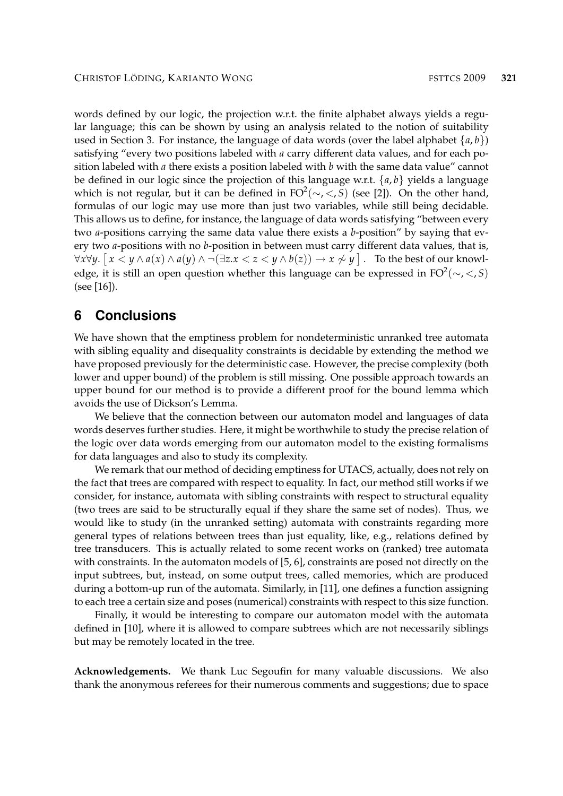words defined by our logic, the projection w.r.t. the finite alphabet always yields a regular language; this can be shown by using an analysis related to the notion of suitability used in Section 3. For instance, the language of data words (over the label alphabet  $\{a, b\}$ ) satisfying "every two positions labeled with *a* carry different data values, and for each position labeled with *a* there exists a position labeled with *b* with the same data value" cannot be defined in our logic since the projection of this language w.r.t. {*a*, *b*} yields a language which is not regular, but it can be defined in FO<sup>2</sup>( $\sim$ , $<$ , $S$ ) (see [2]). On the other hand, formulas of our logic may use more than just two variables, while still being decidable. This allows us to define, for instance, the language of data words satisfying "between every two *a*-positions carrying the same data value there exists a *b*-position" by saying that every two *a*-positions with no *b*-position in between must carry different data values, that is, ∀*x*∀*y*. - *x* < *y* ∧ *a*(*x*) ∧ *a*(*y*) ∧ ¬(∃*z*.*x* < *z* < *y* ∧ *b*(*z*)) → *x* 6∼ *y* . To the best of our knowledge, it is still an open question whether this language can be expressed in FO<sup>2</sup>( $\sim$ , $<$ , $S$ ) (see [16]).

## **6 Conclusions**

We have shown that the emptiness problem for nondeterministic unranked tree automata with sibling equality and disequality constraints is decidable by extending the method we have proposed previously for the deterministic case. However, the precise complexity (both lower and upper bound) of the problem is still missing. One possible approach towards an upper bound for our method is to provide a different proof for the bound lemma which avoids the use of Dickson's Lemma.

We believe that the connection between our automaton model and languages of data words deserves further studies. Here, it might be worthwhile to study the precise relation of the logic over data words emerging from our automaton model to the existing formalisms for data languages and also to study its complexity.

We remark that our method of deciding emptiness for UTACS, actually, does not rely on the fact that trees are compared with respect to equality. In fact, our method still works if we consider, for instance, automata with sibling constraints with respect to structural equality (two trees are said to be structurally equal if they share the same set of nodes). Thus, we would like to study (in the unranked setting) automata with constraints regarding more general types of relations between trees than just equality, like, e.g., relations defined by tree transducers. This is actually related to some recent works on (ranked) tree automata with constraints. In the automaton models of [5, 6], constraints are posed not directly on the input subtrees, but, instead, on some output trees, called memories, which are produced during a bottom-up run of the automata. Similarly, in [11], one defines a function assigning to each tree a certain size and poses (numerical) constraints with respect to this size function.

Finally, it would be interesting to compare our automaton model with the automata defined in [10], where it is allowed to compare subtrees which are not necessarily siblings but may be remotely located in the tree.

**Acknowledgements.** We thank Luc Segoufin for many valuable discussions. We also thank the anonymous referees for their numerous comments and suggestions; due to space